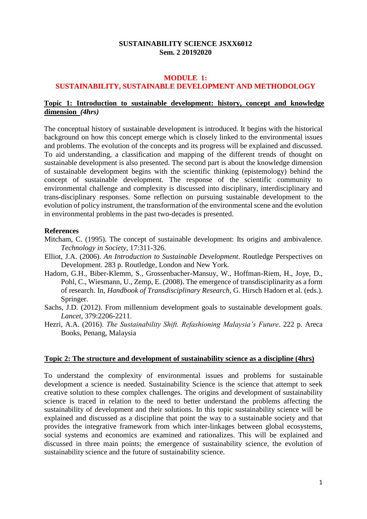## **SUSTAINABILITY SCIENCE JSXX6012 Sem. 2 20192020**

# **MODULE 1:**

# **SUSTAINABILITY, SUSTAINABLE DEVELOPMENT AND METHODOLOGY**

### **Topic 1: Introduction to sustainable development: history, concept and knowledge dimension** *(4hrs)*

The conceptual history of sustainable development is introduced. It begins with the historical background on how this concept emerge which is closely linked to the environmental issues and problems. The evolution of the concepts and its progress will be explained and discussed. To aid understanding, a classification and mapping of the different trends of thought on sustainable development is also presented. The second part is about the knowledge dimension of sustainable development begins with the scientific thinking (epistemology) behind the concept of sustainable development. The response of the scientific community to environmental challenge and complexity is discussed into disciplinary, interdisciplinary and trans-disciplinary responses. Some reflection on pursuing sustainable development to the evolution of policy instrument, the transformation of the environmental scene and the evolution in environmental problems in the past two-decades is presented.

#### **References**

- Mitcham, C. (1995). The concept of sustainable development: Its origins and ambivalence. *Technology in Society*, 17:311-326.
- Elliot, J.A. (2006). *An Introduction to Sustainable Development*. Routledge Perspectives on Development. 283 p. Routledge, London and New York.
- Hadorn, G.H., Biber-Klemm, S., Grossenbacher-Mansuy, W., Hoffman-Riem, H., Joye, D., Pohl, C., Wiesmann, U., Zemp, E. (2008). The emergence of transdisciplinarity as a form of research. In, *Handbook of Transdisciplinary Research*, G. Hirsch Hadorn et al. (eds.). Springer.
- Sachs, J.D. (2012). From millennium development goals to sustainable development goals. *Lancet*, 379:2206-2211.
- Hezri, A.A. (2016). *The Sustainability Shift. Refashioning Malaysia's Future*. 222 p. Areca Books, Penang, Malaysia

#### **Topic 2: The structure and development of sustainability science as a discipline (4hrs)**

To understand the complexity of environmental issues and problems for sustainable development a science is needed. Sustainability Science is the science that attempt to seek creative solution to these complex challenges. The origins and development of sustainability science is traced in relation to the need to better understand the problems affecting the sustainability of development and their solutions. In this topic sustainability science will be explained and discussed as a discipline that point the way to a sustainable society and that provides the integrative framework from which inter-linkages between global ecosystems, social systems and economics are examined and rationalizes. This will be explained and discussed in three main points; the emergence of sustainability science, the evolution of sustainability science and the future of sustainability science.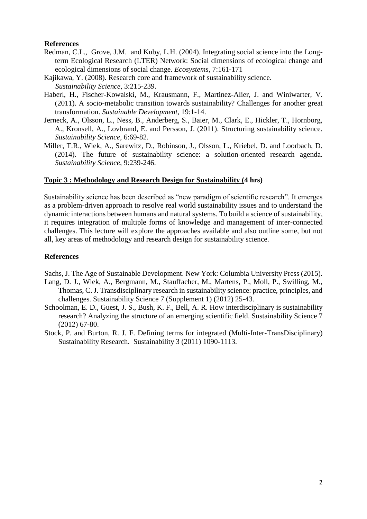## **References**

- Redman, C.L., Grove, J.M. and Kuby, L.H. (2004). Integrating social science into the Longterm Ecological Research (LTER) Network: Social dimensions of ecological change and ecological dimensions of social change. *Ecosystems*, 7:161-171
- Kajikawa, Y. (2008). Research core and framework of sustainability science. *Sustainability Science*, 3:215-239.
- Haberl, H., Fischer-Kowalski, M., Krausmann, F., Martinez-Alier, J. and Winiwarter, V. (2011). A socio-metabolic transition towards sustainability? Challenges for another great transformation. *Sustainable Development*, 19:1-14.
- Jerneck, A., Olsson, L., Ness, B., Anderberg, S., Baier, M., Clark, E., Hickler, T., Hornborg, A., Kronsell, A., Lovbrand, E. and Persson, J. (2011). Structuring sustainability science. *Sustainability Science*, 6:69-82.
- Miller, T.R., Wiek, A., Sarewitz, D., Robinson, J., Olsson, L., Kriebel, D. and Loorbach, D. (2014). The future of sustainability science: a solution-oriented research agenda. *Sustainability Science*, 9:239-246.

### **Topic 3 : Methodology and Research Design for Sustainability (4 hrs)**

Sustainability science has been described as "new paradigm of scientific research". It emerges as a problem-driven approach to resolve real world sustainability issues and to understand the dynamic interactions between humans and natural systems. To build a science of sustainability, it requires integration of multiple forms of knowledge and management of inter-connected challenges. This lecture will explore the approaches available and also outline some, but not all, key areas of methodology and research design for sustainability science.

## **References**

Sachs, J. The Age of Sustainable Development. New York: Columbia University Press (2015).

- Lang, D. J., Wiek, A., Bergmann, M., Stauffacher, M., Martens, P., Moll, P., Swilling, M., Thomas, C. J. Transdisciplinary research in sustainability science: practice, principles, and challenges. Sustainability Science 7 (Supplement 1) (2012) 25-43.
- Schoolman, E. D., Guest, J. S., Bush, K. F., Bell, A. R. How interdisciplinary is sustainability research? Analyzing the structure of an emerging scientific field. Sustainability Science 7 (2012) 67-80.
- Stock, P. and Burton, R. J. F. Defining terms for integrated (Multi-Inter-TransDisciplinary) Sustainability Research. Sustainability 3 (2011) 1090-1113.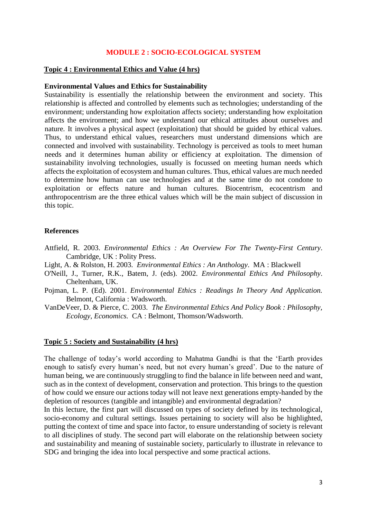### **MODULE 2 : SOCIO-ECOLOGICAL SYSTEM**

#### **Topic 4 : Environmental Ethics and Value (4 hrs)**

#### **Environmental Values and Ethics for Sustainability**

Sustainability is essentially the relationship between the environment and society. This relationship is affected and controlled by elements such as technologies; understanding of the environment; understanding how exploitation affects society; understanding how exploitation affects the environment; and how we understand our ethical attitudes about ourselves and nature. It involves a physical aspect (exploitation) that should be guided by ethical values. Thus, to understand ethical values, researchers must understand dimensions which are connected and involved with sustainability. Technology is perceived as tools to meet human needs and it determines human ability or efficiency at exploitation. The dimension of sustainability involving technologies, usually is focussed on meeting human needs which affects the exploitation of ecosystem and human cultures. Thus, ethical values are much needed to determine how human can use technologies and at the same time do not condone to exploitation or effects nature and human cultures. Biocentrism, ecocentrism and anthropocentrism are the three ethical values which will be the main subject of discussion in this topic.

#### **References**

- Attfield, R. 2003. *Environmental Ethics : An Overview For The Twenty-First Century*. Cambridge, UK : Polity Press.
- Light, A. & Rolston, H. 2003. *Environmental Ethics : An Anthology*. MA : Blackwell
- O'Neill, J., Turner, R.K., Batem, J. (eds). 2002. *Environmental Ethics And Philosophy*. Cheltenham, UK.
- Pojman, L. P. (Ed). 2001. *Environmental Ethics : Readings In Theory And Application.* Belmont, California : Wadsworth.
- VanDeVeer, D. & Pierce, C. 2003. *The Environmental Ethics And Policy Book : Philosophy, Ecology, Economics.* CA : Belmont, Thomson/Wadsworth.

### **Topic 5 : Society and Sustainability (4 hrs)**

The challenge of today's world according to Mahatma Gandhi is that the 'Earth provides enough to satisfy every human's need, but not every human's greed'. Due to the nature of human being, we are continuously struggling to find the balance in life between need and want, such as in the context of development, conservation and protection. This brings to the question of how could we ensure our actions today will not leave next generations empty-handed by the depletion of resources (tangible and intangible) and environmental degradation?

In this lecture, the first part will discussed on types of society defined by its technological, socio-economy and cultural settings. Issues pertaining to society will also be highlighted, putting the context of time and space into factor, to ensure understanding of society is relevant to all disciplines of study. The second part will elaborate on the relationship between society and sustainability and meaning of sustainable society, particularly to illustrate in relevance to SDG and bringing the idea into local perspective and some practical actions.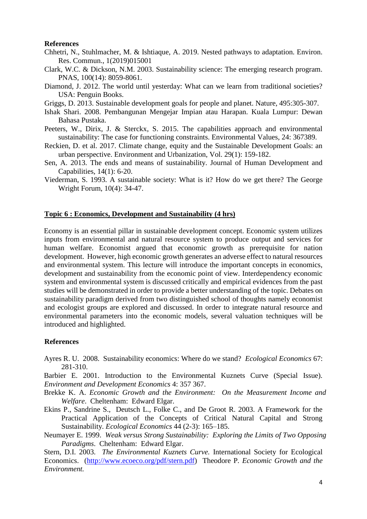#### **References**

- Chhetri, N., Stuhlmacher, M. & Ishtiaque, A. 2019. Nested pathways to adaptation. Environ. Res. Commun., 1(2019)015001
- Clark, W.C. & Dickson, N.M. 2003. Sustainability science: The emerging research program. PNAS, 100(14): 8059-8061.
- Diamond, J. 2012. The world until yesterday: What can we learn from traditional societies? USA: Penguin Books.
- Griggs, D. 2013. Sustainable development goals for people and planet. Nature, 495:305-307.
- Ishak Shari. 2008. Pembangunan Mengejar Impian atau Harapan. Kuala Lumpur: Dewan Bahasa Pustaka.
- Peeters, W., Dirix, J. & Sterckx, S. 2015. The capabilities approach and environmental sustainability: The case for functioning constraints. Environmental Values, 24: 367389.
- Reckien, D. et al. 2017. Climate change, equity and the Sustainable Development Goals: an urban perspective. Environment and Urbanization, Vol. 29(1): 159-182.
- Sen, A. 2013. The ends and means of sustainability. Journal of Human Development and Capabilities, 14(1): 6-20.
- Viederman, S. 1993. A sustainable society: What is it? How do we get there? The George Wright Forum, 10(4): 34-47.

### **Topic 6 : Economics, Development and Sustainability (4 hrs)**

Economy is an essential pillar in sustainable development concept. Economic system utilizes inputs from environmental and natural resource system to produce output and services for human welfare. Economist argued that economic growth as prerequisite for nation development. However, high economic growth generates an adverse effect to natural resources and environmental system. This lecture will introduce the important concepts in economics, development and sustainability from the economic point of view. Interdependency economic system and environmental system is discussed critically and empirical evidences from the past studies will be demonstrated in order to provide a better understanding of the topic. Debates on sustainability paradigm derived from two distinguished school of thoughts namely economist and ecologist groups are explored and discussed. In order to integrate natural resource and environmental parameters into the economic models, several valuation techniques will be introduced and highlighted.

#### **References**

Ayres R. U. 2008. Sustainability economics: Where do we stand? *Ecological Economics* 67: 281-310.

Barbier E. 2001. Introduction to the Environmental Kuznets Curve (Special Issue). *Environment and Development Economics* 4: 357 367.

- Brekke K. A. *Economic Growth and the Environment: On the Measurement Income and Welfare*. Cheltenham: Edward Elgar.
- Ekins P., Sandrine S., Deutsch L., Folke C., and De Groot R. 2003. A Framework for the Practical Application of the Concepts of Critical Natural Capital and Strong Sustainability. *Ecological Economics* 44 (2-3): 165–185.
- Neumayer E. 1999. *Weak versus Strong Sustainability: Exploring the Limits of Two Opposing Paradigms*. Cheltenham: Edward Elgar.

Stern, D.I. 2003. *The Environmental Kuznets Curve.* International Society for Ecological Economics. (http://www.ecoeco.org/pdf/stern.pdf) Theodore P*. Economic Growth and the Environment.*